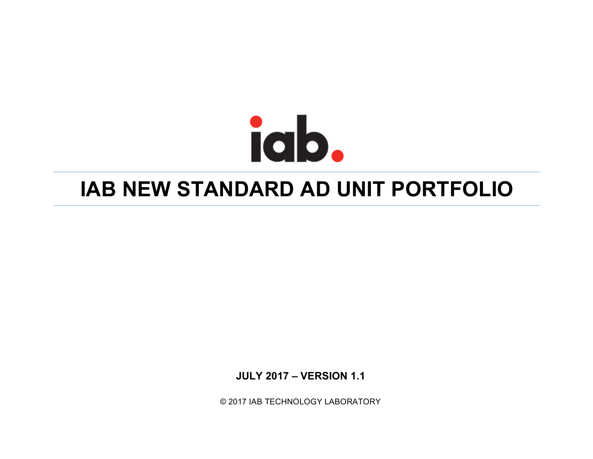## **IAB NEW STANDARD AD UNIT PORTFOLIO**

**JULY 2017 – VERSION 1.1**

© 2017 IAB TECHNOLOGY LABORATORY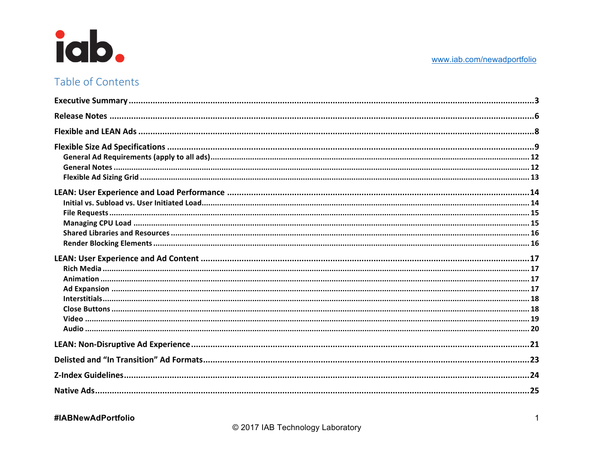

## Table of Contents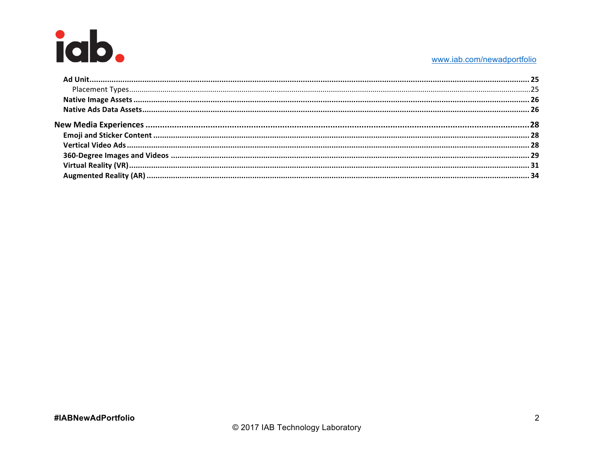#### www.iab.com/newadportfolio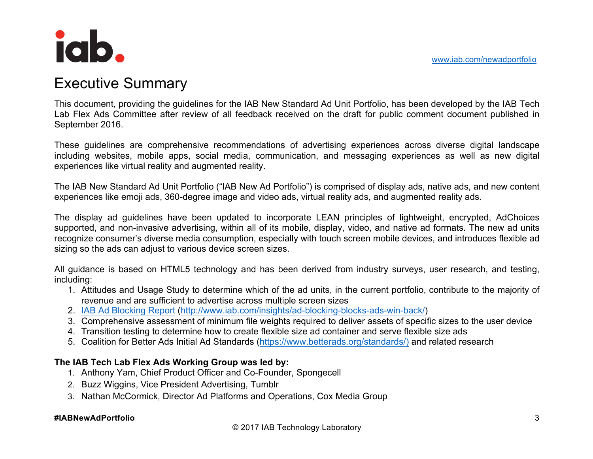## Executive Summary

This document, providing the guidelines for the IAB New Standard Ad Unit Portfolio, has been developed by the IAB Tech Lab Flex Ads Committee after review of all feedback received on the draft for public comment document published in September 2016.

These guidelines are comprehensive recommendations of advertising experiences across diverse digital landscape including websites, mobile apps, social media, communication, and messaging experiences as well as new digital experiences like virtual reality and augmented reality.

The IAB New Standard Ad Unit Portfolio ("IAB New Ad Portfolio") is comprised of display ads, native ads, and new content experiences like emoji ads, 360-degree image and video ads, virtual reality ads, and augmented reality ads.

The display ad guidelines have been updated to incorporate LEAN principles of lightweight, encrypted, AdChoices supported, and non-invasive advertising, within all of its mobile, display, video, and native ad formats. The new ad units recognize consumer's diverse media consumption, especially with touch screen mobile devices, and introduces flexible ad sizing so the ads can adjust to various device screen sizes.

All guidance is based on HTML5 technology and has been derived from industry surveys, user research, and testing, including:

- 1. Attitudes and Usage Study to determine which of the ad units, in the current portfolio, contribute to the majority of revenue and are sufficient to advertise across multiple screen sizes
- 2. IAB Ad Blocking Report (http://www.iab.com/insights/ad-blocking-blocks-ads-win-back/)
- 3. Comprehensive assessment of minimum file weights required to deliver assets of specific sizes to the user device
- 4. Transition testing to determine how to create flexible size ad container and serve flexible size ads
- 5. Coalition for Better Ads Initial Ad Standards (https://www.betterads.org/standards/) and related research

#### **The IAB Tech Lab Flex Ads Working Group was led by:**

- 1. Anthony Yam, Chief Product Officer and Co-Founder, Spongecell
- 2. Buzz Wiggins, Vice President Advertising, Tumblr
- 3. Nathan McCormick, Director Ad Platforms and Operations, Cox Media Group

#### **#IABNewAdPortfolio**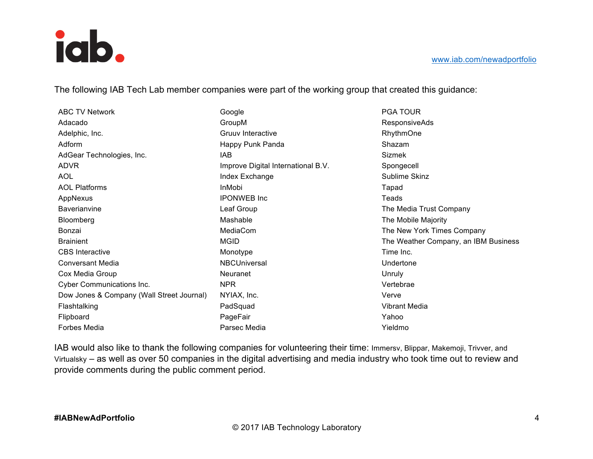The following IAB Tech Lab member companies were part of the working group that created this guidance:

| <b>ABC TV Network</b>                     | Google                             | <b>PGA TOUR</b>                      |
|-------------------------------------------|------------------------------------|--------------------------------------|
| Adacado                                   | GroupM                             | <b>ResponsiveAds</b>                 |
| Adelphic, Inc.                            | Gruuv Interactive                  | RhythmOne                            |
| Adform                                    | Happy Punk Panda                   | Shazam                               |
| AdGear Technologies, Inc.                 | IAB                                | Sizmek                               |
| <b>ADVR</b>                               | Improve Digital International B.V. | Spongecell                           |
| AOL                                       | Index Exchange                     | Sublime Skinz                        |
| <b>AOL Platforms</b>                      | InMobi                             | Tapad                                |
| AppNexus                                  | <b>IPONWEB</b> Inc.                | Teads                                |
| Baverianvine                              | Leaf Group                         | The Media Trust Company              |
| Bloomberg                                 | Mashable                           | The Mobile Majority                  |
| Bonzai                                    | MediaCom                           | The New York Times Company           |
| <b>Brainient</b>                          | <b>MGID</b>                        | The Weather Company, an IBM Business |
| <b>CBS</b> Interactive                    | Monotype                           | Time Inc.                            |
| <b>Conversant Media</b>                   | <b>NBCUniversal</b>                | Undertone                            |
| Cox Media Group                           | <b>Neuranet</b>                    | Unruly                               |
| Cyber Communications Inc.                 | <b>NPR</b>                         | Vertebrae                            |
| Dow Jones & Company (Wall Street Journal) | NYIAX, Inc.                        | Verve                                |
| Flashtalking                              | PadSquad                           | Vibrant Media                        |
| Flipboard                                 | PageFair                           | Yahoo                                |
| <b>Forbes Media</b>                       | Parsec Media                       | Yieldmo                              |

IAB would also like to thank the following companies for volunteering their time: Immersv, Blippar, Makemoji, Trivver, and Virtualsky – as well as over 50 companies in the digital advertising and media industry who took time out to review and provide comments during the public comment period.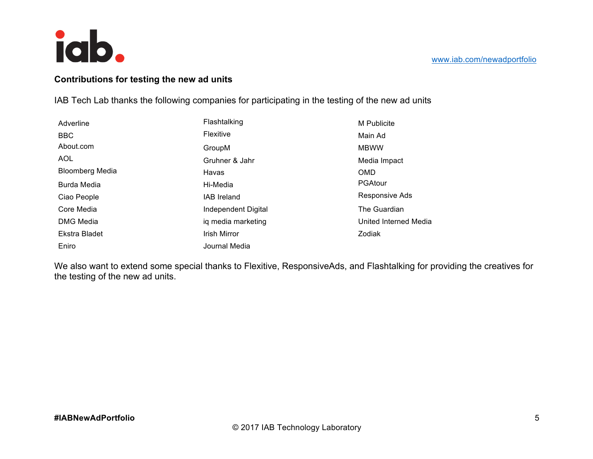

#### **Contributions for testing the new ad units**

IAB Tech Lab thanks the following companies for participating in the testing of the new ad units

| Adverline              | Flashtalking        | M Publicite           |
|------------------------|---------------------|-----------------------|
| <b>BBC</b>             | Flexitive           | Main Ad               |
| About.com              | GroupM              | <b>MBWW</b>           |
| <b>AOL</b>             | Gruhner & Jahr      | Media Impact          |
| <b>Bloomberg Media</b> | Havas               | <b>OMD</b>            |
| Burda Media            | Hi-Media            | PGAtour               |
| Ciao People            | IAB Ireland         | Responsive Ads        |
| Core Media             | Independent Digital | The Guardian          |
| DMG Media              | ig media marketing  | United Interned Media |
| Ekstra Bladet          | Irish Mirror        | Zodiak                |
| Eniro                  | Journal Media       |                       |

We also want to extend some special thanks to Flexitive, ResponsiveAds, and Flashtalking for providing the creatives for the testing of the new ad units.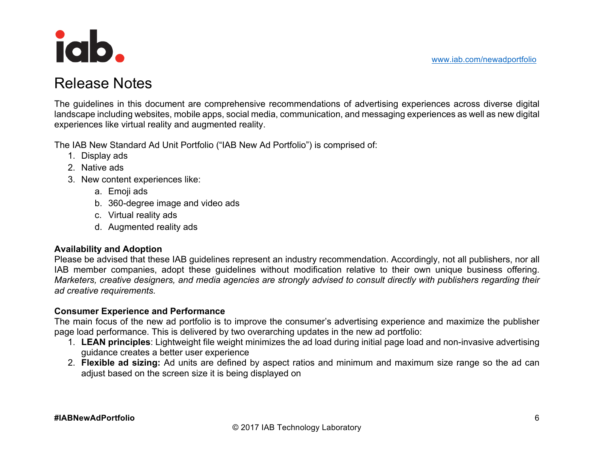www.iab.com/newadportfolio



## Release Notes

The guidelines in this document are comprehensive recommendations of advertising experiences across diverse digital landscape including websites, mobile apps, social media, communication, and messaging experiences as well as new digital experiences like virtual reality and augmented reality.

The IAB New Standard Ad Unit Portfolio ("IAB New Ad Portfolio") is comprised of:

- 1. Display ads
- 2. Native ads
- 3. New content experiences like:
	- a. Emoji ads
	- b. 360-degree image and video ads
	- c. Virtual reality ads
	- d. Augmented reality ads

#### **Availability and Adoption**

Please be advised that these IAB guidelines represent an industry recommendation. Accordingly, not all publishers, nor all IAB member companies, adopt these guidelines without modification relative to their own unique business offering. *Marketers, creative designers, and media agencies are strongly advised to consult directly with publishers regarding their ad creative requirements.* 

#### **Consumer Experience and Performance**

The main focus of the new ad portfolio is to improve the consumer's advertising experience and maximize the publisher page load performance. This is delivered by two overarching updates in the new ad portfolio:

- 1. **LEAN principles**: Lightweight file weight minimizes the ad load during initial page load and non-invasive advertising guidance creates a better user experience
- 2. **Flexible ad sizing:** Ad units are defined by aspect ratios and minimum and maximum size range so the ad can adjust based on the screen size it is being displayed on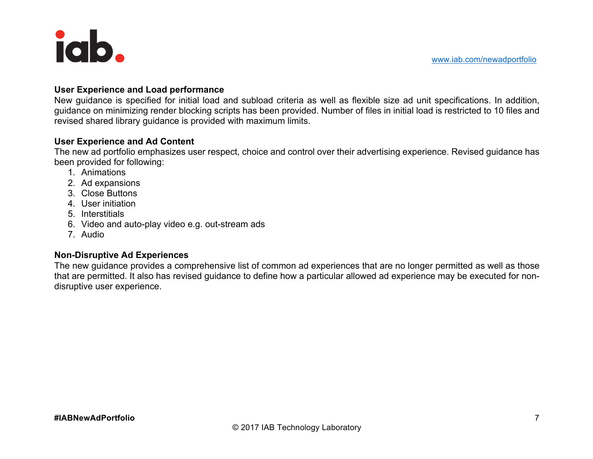#### **User Experience and Load performance**

New guidance is specified for initial load and subload criteria as well as flexible size ad unit specifications. In addition, guidance on minimizing render blocking scripts has been provided. Number of files in initial load is restricted to 10 files and revised shared library guidance is provided with maximum limits.

#### **User Experience and Ad Content**

The new ad portfolio emphasizes user respect, choice and control over their advertising experience. Revised guidance has been provided for following:

- 1. Animations
- 2. Ad expansions
- 3. Close Buttons
- 4. User initiation
- 5. Interstitials
- 6. Video and auto-play video e.g. out-stream ads
- 7. Audio

#### **Non-Disruptive Ad Experiences**

The new guidance provides a comprehensive list of common ad experiences that are no longer permitted as well as those that are permitted. It also has revised guidance to define how a particular allowed ad experience may be executed for nondisruptive user experience.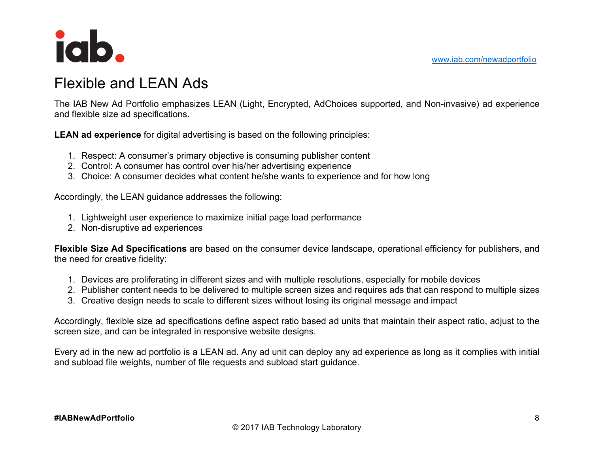

## Flexible and LEAN Ads

The IAB New Ad Portfolio emphasizes LEAN (Light, Encrypted, AdChoices supported, and Non-invasive) ad experience and flexible size ad specifications.

**LEAN ad experience** for digital advertising is based on the following principles:

- 1. Respect: A consumer's primary objective is consuming publisher content
- 2. Control: A consumer has control over his/her advertising experience
- 3. Choice: A consumer decides what content he/she wants to experience and for how long

Accordingly, the LEAN guidance addresses the following:

- 1. Lightweight user experience to maximize initial page load performance
- 2. Non-disruptive ad experiences

**Flexible Size Ad Specifications** are based on the consumer device landscape, operational efficiency for publishers, and the need for creative fidelity:

- 1. Devices are proliferating in different sizes and with multiple resolutions, especially for mobile devices
- 2. Publisher content needs to be delivered to multiple screen sizes and requires ads that can respond to multiple sizes
- 3. Creative design needs to scale to different sizes without losing its original message and impact

Accordingly, flexible size ad specifications define aspect ratio based ad units that maintain their aspect ratio, adjust to the screen size, and can be integrated in responsive website designs.

Every ad in the new ad portfolio is a LEAN ad. Any ad unit can deploy any ad experience as long as it complies with initial and subload file weights, number of file requests and subload start guidance.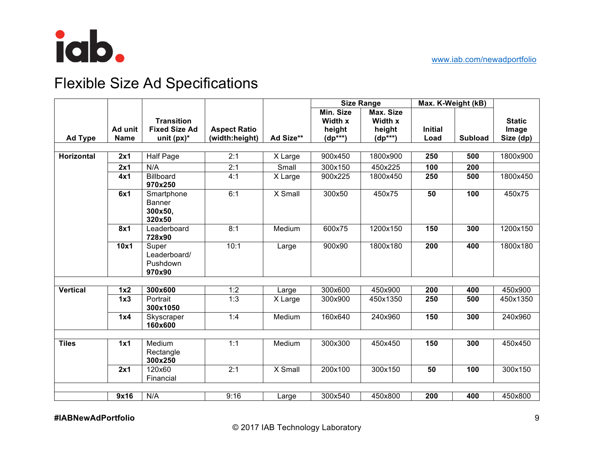

## Flexible Size Ad Specifications

|                 |             |                                                  |                     |           | <b>Size Range</b> |              | Max. K-Weight (kB) |                |               |
|-----------------|-------------|--------------------------------------------------|---------------------|-----------|-------------------|--------------|--------------------|----------------|---------------|
|                 |             |                                                  |                     |           | Min. Size         | Max. Size    |                    |                |               |
|                 |             | <b>Transition</b>                                |                     |           | Width x           | Width x      |                    |                | <b>Static</b> |
|                 | Ad unit     | <b>Fixed Size Ad</b>                             | <b>Aspect Ratio</b> |           | height            | height       | <b>Initial</b>     |                | Image         |
| Ad Type         | <b>Name</b> | unit $(px)^*$                                    | (width:height)      | Ad Size** | $(dp^{***})$      | $(dp^{***})$ | Load               | <b>Subload</b> | Size (dp)     |
|                 |             |                                                  |                     |           |                   |              |                    |                |               |
| Horizontal      | 2x1         | <b>Half Page</b>                                 | 2:1                 | X Large   | 900x450           | 1800x900     | 250                | 500            | 1800x900      |
|                 | 2x1         | N/A                                              | 2:1                 | Small     | 300x150           | 450x225      | 100                | 200            |               |
|                 | 4x1         | <b>Billboard</b><br>970x250                      | 4:1                 | X Large   | 900x225           | 1800x450     | 250                | 500            | 1800x450      |
|                 | 6x1         | Smartphone<br><b>Banner</b><br>300x50,<br>320x50 | 6:1                 | X Small   | 300x50            | 450x75       | 50                 | 100            | 450x75        |
|                 | 8x1         | Leaderboard<br>728x90                            | 8:1                 | Medium    | 600x75            | 1200x150     | 150                | 300            | 1200x150      |
|                 | 10x1        | Super<br>Leaderboard/<br>Pushdown<br>970x90      | 10:1                | Large     | 900x90            | 1800x180     | 200                | 400            | 1800x180      |
|                 |             |                                                  |                     |           |                   |              |                    |                |               |
| <b>Vertical</b> | 1x2         | 300x600                                          | 1:2                 | Large     | 300x600           | 450×900      | 200                | 400            | 450x900       |
|                 | 1x3         | Portrait<br>300x1050                             | 1:3                 | X Large   | 300x900           | 450x1350     | 250                | 500            | 450x1350      |
|                 | 1x4         | Skyscraper<br>160x600                            | 1:4                 | Medium    | 160x640           | 240x960      | 150                | 300            | 240x960       |
|                 |             |                                                  |                     |           |                   |              |                    |                |               |
| <b>Tiles</b>    | 1x1         | Medium<br>Rectangle<br>300x250                   | 1:1                 | Medium    | 300x300           | 450x450      | 150                | 300            | 450x450       |
|                 | 2x1         | 120x60<br>Financial                              | 2:1                 | X Small   | 200x100           | 300x150      | 50                 | 100            | 300x150       |
|                 |             |                                                  |                     |           |                   |              |                    |                |               |
|                 | 9x16        | N/A                                              | 9:16                | Large     | 300x540           | 450x800      | 200                | 400            | 450x800       |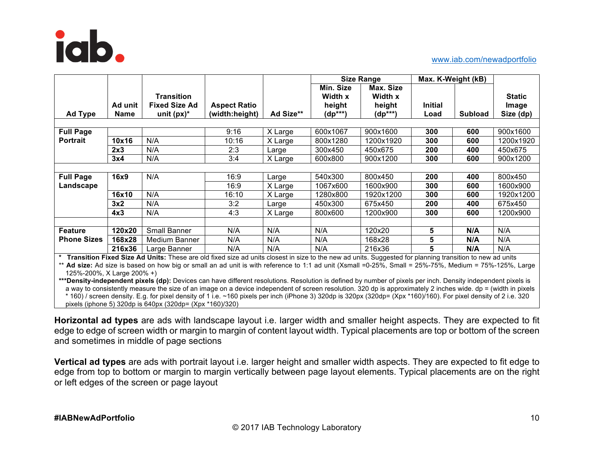

#### www.iab.com/newadportfolio

|                    |                 |                                                                                                                                                          |                                       |           | Size Range                                     |                                                |                        | Max. K-Weight (kB) |                                     |
|--------------------|-----------------|----------------------------------------------------------------------------------------------------------------------------------------------------------|---------------------------------------|-----------|------------------------------------------------|------------------------------------------------|------------------------|--------------------|-------------------------------------|
| <b>Ad Type</b>     | Ad unit<br>Name | <b>Transition</b><br><b>Fixed Size Ad</b><br>unit $(px)^*$                                                                                               | <b>Aspect Ratio</b><br>(width:height) | Ad Size** | Min. Size<br>Width x<br>height<br>$(dp^{***})$ | Max. Size<br>Width x<br>height<br>$(dp^{***})$ | <b>Initial</b><br>Load | <b>Subload</b>     | <b>Static</b><br>Image<br>Size (dp) |
|                    |                 |                                                                                                                                                          |                                       |           |                                                |                                                |                        |                    |                                     |
| <b>Full Page</b>   |                 |                                                                                                                                                          | 9:16                                  | X Large   | 600x1067                                       | 900x1600                                       | 300                    | 600                | 900x1600                            |
| <b>Portrait</b>    | 10x16           | N/A                                                                                                                                                      | 10:16                                 | X Large   | 800x1280                                       | 1200x1920                                      | 300                    | 600                | 1200x1920                           |
|                    | 2x3             | N/A                                                                                                                                                      | 2:3                                   | Large     | 300x450                                        | 450x675                                        | 200                    | 400                | 450x675                             |
|                    | 3x4             | N/A                                                                                                                                                      | 3:4                                   | X Large   | 600x800                                        | 900x1200                                       | 300                    | 600                | 900x1200                            |
|                    |                 |                                                                                                                                                          |                                       |           |                                                |                                                |                        |                    |                                     |
| <b>Full Page</b>   | 16x9            | N/A                                                                                                                                                      | 16:9                                  | Large     | 540x300                                        | 800x450                                        | 200                    | 400                | 800x450                             |
| Landscape          |                 |                                                                                                                                                          | 16:9                                  | X Large   | 1067x600                                       | 1600x900                                       | 300                    | 600                | 1600x900                            |
|                    | 16x10           | N/A                                                                                                                                                      | 16:10                                 | X Large   | 1280x800                                       | 1920x1200                                      | 300                    | 600                | 1920x1200                           |
|                    | 3x2             | N/A                                                                                                                                                      | 3:2                                   | Large     | 450x300                                        | 675x450                                        | 200                    | 400                | 675x450                             |
|                    | 4x3             | N/A                                                                                                                                                      | 4:3                                   | X Large   | 800x600                                        | 1200x900                                       | 300                    | 600                | 1200x900                            |
|                    |                 |                                                                                                                                                          |                                       |           |                                                |                                                |                        |                    |                                     |
| Feature            | 120x20          | <b>Small Banner</b>                                                                                                                                      | N/A                                   | N/A       | N/A                                            | 120x20                                         | 5                      | N/A                | N/A                                 |
| <b>Phone Sizes</b> | 168x28          | Medium Banner                                                                                                                                            | N/A                                   | N/A       | N/A                                            | 168x28                                         | 5                      | N/A                | N/A                                 |
|                    | 216x36          | Large Banner                                                                                                                                             | N/A                                   | N/A       | N/A                                            | 216x36                                         | 5                      | N/A                | N/A                                 |
|                    |                 | Transition Fixed Size Ad Units: These are old fixed size ad units closest in size to the new ad units. Suggested for planning transition to new ad units |                                       |           |                                                |                                                |                        |                    |                                     |

\*\* **Ad size:** Ad size is based on how big or small an ad unit is with reference to 1:1 ad unit (Xsmall =0-25%, Small = 25%-75%, Medium = 75%-125%, Large

125%-200%, X Large 200% +) \*\*\*Density-independent pixels (dp): Devices can have different resolutions. Resolution is defined by number of pixels per inch. Density independent pixels is a way to consistently measure the size of an image on a device independent of screen resolution. 320 dp is approximately 2 inches wide. dp = (width in pixels \* 160) / screen density. E.g. for pixel density of 1 i.e. ~160 pixels per inch (iPhone 3) 320dp is 320px (320dp= (Xpx \*160)/160). For pixel density of 2 i.e. 320 pixels (iphone 5) 320dp is 640px (320dp= (Xpx \*160)/320)

**Horizontal ad types** are ads with landscape layout i.e. larger width and smaller height aspects. They are expected to fit edge to edge of screen width or margin to margin of content layout width. Typical placements are top or bottom of the screen and sometimes in middle of page sections

**Vertical ad types** are ads with portrait layout i.e. larger height and smaller width aspects. They are expected to fit edge to edge from top to bottom or margin to margin vertically between page layout elements. Typical placements are on the right or left edges of the screen or page layout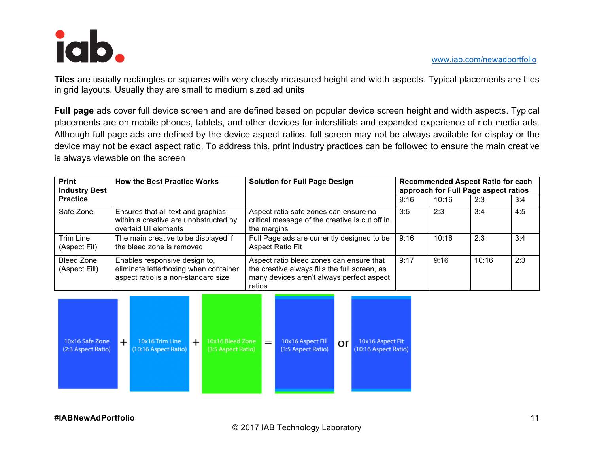

**Tiles** are usually rectangles or squares with very closely measured height and width aspects. Typical placements are tiles in grid layouts. Usually they are small to medium sized ad units

**Full page** ads cover full device screen and are defined based on popular device screen height and width aspects. Typical placements are on mobile phones, tablets, and other devices for interstitials and expanded experience of rich media ads. Although full page ads are defined by the device aspect ratios, full screen may not be always available for display or the device may not be exact aspect ratio. To address this, print industry practices can be followed to ensure the main creative is always viewable on the screen

| <b>Print</b><br><b>Industry Best</b> | <b>How the Best Practice Works</b>                                                                            | <b>Solution for Full Page Design</b>                                                                                                             | <b>Recommended Aspect Ratio for each</b><br>approach for Full Page aspect ratios |       |       |     |
|--------------------------------------|---------------------------------------------------------------------------------------------------------------|--------------------------------------------------------------------------------------------------------------------------------------------------|----------------------------------------------------------------------------------|-------|-------|-----|
| <b>Practice</b>                      |                                                                                                               |                                                                                                                                                  | 9:16                                                                             | 10:16 | 2:3   | 3:4 |
| Safe Zone                            | Ensures that all text and graphics<br>within a creative are unobstructed by<br>overlaid UI elements           | Aspect ratio safe zones can ensure no<br>critical message of the creative is cut off in<br>the margins                                           | 3:5                                                                              | 2:3   | 3:4   | 4:5 |
| Trim Line<br>(Aspect Fit)            | The main creative to be displayed if<br>the bleed zone is removed                                             | Full Page ads are currently designed to be<br><b>Aspect Ratio Fit</b>                                                                            | 9:16                                                                             | 10:16 | 2:3   | 3:4 |
| Bleed Zone<br>(Aspect Fill)          | Enables responsive design to,<br>eliminate letterboxing when container<br>aspect ratio is a non-standard size | Aspect ratio bleed zones can ensure that<br>the creative always fills the full screen, as<br>many devices aren't always perfect aspect<br>ratios | 9:17                                                                             | 9:16  | 10:16 | 2:3 |

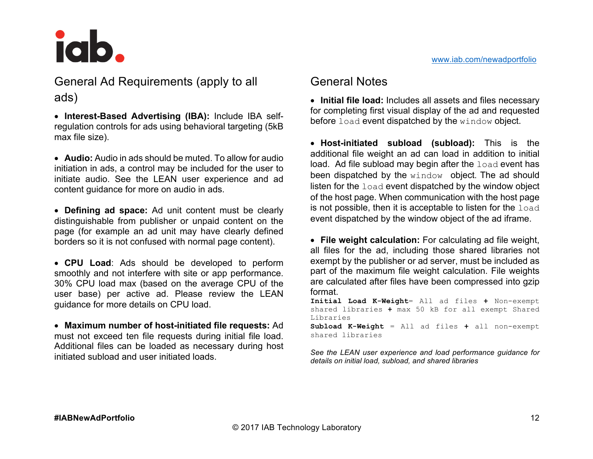

General Ad Requirements (apply to all ads)

• **Interest-Based Advertising (IBA):** Include IBA selfregulation controls for ads using behavioral targeting (5kB max file size).

• **Audio:** Audio in ads should be muted. To allow for audio initiation in ads, a control may be included for the user to initiate audio. See the LEAN user experience and ad content guidance for more on audio in ads.

• **Defining ad space:** Ad unit content must be clearly distinguishable from publisher or unpaid content on the page (for example an ad unit may have clearly defined borders so it is not confused with normal page content).

• **CPU Load**: Ads should be developed to perform smoothly and not interfere with site or app performance. 30% CPU load max (based on the average CPU of the user base) per active ad. Please review the LEAN guidance for more details on CPU load.

• **Maximum number of host-initiated file requests:** Ad must not exceed ten file requests during initial file load. Additional files can be loaded as necessary during host initiated subload and user initiated loads.

## General Notes

• **Initial file load:** Includes all assets and files necessary for completing first visual display of the ad and requested before load event dispatched by the window object.

• **Host-initiated subload (subload):** This is the additional file weight an ad can load in addition to initial load. Ad file subload may begin after the load event has been dispatched by the window object. The ad should listen for the load event dispatched by the window object of the host page. When communication with the host page is not possible, then it is acceptable to listen for the load event dispatched by the window object of the ad iframe.

• **File weight calculation:** For calculating ad file weight, all files for the ad, including those shared libraries not exempt by the publisher or ad server, must be included as part of the maximum file weight calculation. File weights are calculated after files have been compressed into gzip format.

**Initial Load K-Weight**= All ad files **+** Non-exempt shared libraries **+** max 50 kB for all exempt Shared Libraries

**Subload K-Weight** = All ad files **+** all non-exempt shared libraries

*See the LEAN user experience and load performance guidance for details on initial load, subload, and shared libraries*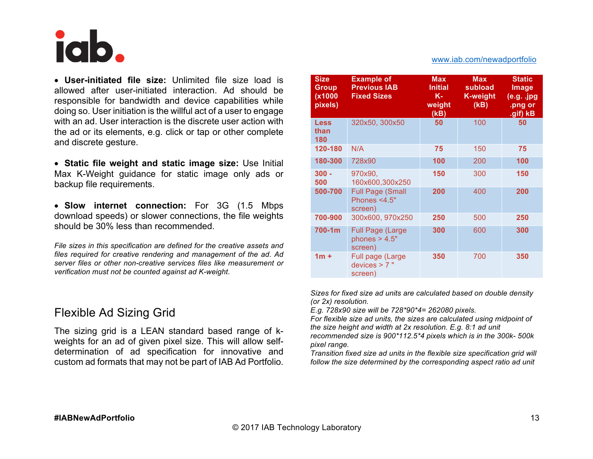

• **User-initiated file size:** Unlimited file size load is allowed after user-initiated interaction. Ad should be responsible for bandwidth and device capabilities while doing so. User initiation is the willful act of a user to engage with an ad. User interaction is the discrete user action with the ad or its elements, e.g. click or tap or other complete and discrete gesture.

• **Static file weight and static image size:** Use Initial Max K-Weight guidance for static image only ads or backup file requirements.

• **Slow internet connection:** For 3G (1.5 Mbps download speeds) or slower connections, the file weights should be 30% less than recommended.

*File sizes in this specification are defined for the creative assets and files required for creative rendering and management of the ad*. *Ad server files or other non-creative services files like measurement or verification must not be counted against ad K-weight*.

### Flexible Ad Sizing Grid

The sizing grid is a LEAN standard based range of kweights for an ad of given pixel size. This will allow selfdetermination of ad specification for innovative and custom ad formats that may not be part of IAB Ad Portfolio.

| <b>Size</b><br><b>Group</b><br>(x1000<br>pixels) | <b>Example of</b><br><b>Previous IAB</b><br><b>Fixed Sizes</b> | <b>Max</b><br><b>Initial</b><br>Κ-<br>weight<br>(KB) | <b>Max</b><br>subload<br><b>K-weight</b><br>(KB) | <b>Static</b><br>Image<br>$(e.g.$ .jpg<br>.png or<br>.gif) kB |
|--------------------------------------------------|----------------------------------------------------------------|------------------------------------------------------|--------------------------------------------------|---------------------------------------------------------------|
| <b>Less</b><br>than<br>180                       | 320x50, 300x50                                                 | 50                                                   | 100                                              | 50                                                            |
| 120-180                                          | N/A                                                            | 75                                                   | 150                                              | 75                                                            |
| 180-300                                          | 728x90                                                         | 100                                                  | 200                                              | 100                                                           |
| $300 -$<br>500                                   | 970x90,<br>160x600,300x250                                     | 150                                                  | 300                                              | 150                                                           |
| 500-700                                          | <b>Full Page (Small</b><br>Phones <4.5"<br>screen)             | 200                                                  | 400                                              | 200                                                           |
| 700-900                                          | 300x600, 970x250                                               | 250                                                  | 500                                              | 250                                                           |
| $700 - 1m$                                       | <b>Full Page (Large</b><br>phones $> 4.5"$<br>screen)          | 300                                                  | 600                                              | 300                                                           |
| $1m +$                                           | Full page (Large<br>devices > 7"<br>screen)                    | 350                                                  | 700                                              | 350                                                           |

*Sizes for fixed size ad units are calculated based on double density (or 2x) resolution.* 

*E.g. 728x90 size will be 728\*90\*4= 262080 pixels.*

*For flexible size ad units, the sizes are calculated using midpoint of the size height and width at 2x resolution. E.g. 8:1 ad unit recommended size is 900\*112.5\*4 pixels which is in the 300k- 500k pixel range.*

*Transition fixed size ad units in the flexible size specification grid will follow the size determined by the corresponding aspect ratio ad unit*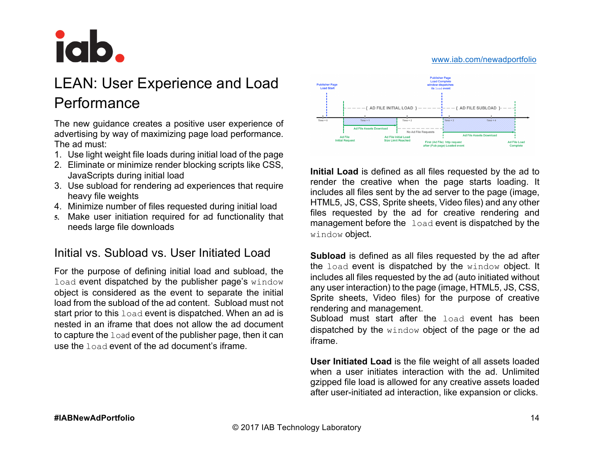

## LEAN: User Experience and Load Performance

The new guidance creates a positive user experience of advertising by way of maximizing page load performance. The ad must:

- 1. Use light weight file loads during initial load of the page
- 2. Eliminate or minimize render blocking scripts like CSS, JavaScripts during initial load
- 3. Use subload for rendering ad experiences that require heavy file weights
- 4. Minimize number of files requested during initial load
- **5.** Make user initiation required for ad functionality that needs large file downloads

## Initial vs. Subload vs. User Initiated Load

For the purpose of defining initial load and subload, the load event dispatched by the publisher page's window object is considered as the event to separate the initial load from the subload of the ad content. Subload must not start prior to this load event is dispatched. When an ad is nested in an iframe that does not allow the ad document to capture the  $1$  oad event of the publisher page, then it can use the load event of the ad document's iframe.



**Initial Load** is defined as all files requested by the ad to render the creative when the page starts loading. It includes all files sent by the ad server to the page (image, HTML5, JS, CSS, Sprite sheets, Video files) and any other files requested by the ad for creative rendering and management before the load event is dispatched by the window object.

**Subload** is defined as all files requested by the ad after the load event is dispatched by the window object. It includes all files requested by the ad (auto initiated without any user interaction) to the page (image, HTML5, JS, CSS, Sprite sheets, Video files) for the purpose of creative rendering and management.

Subload must start after the load event has been dispatched by the window object of the page or the ad iframe.

**User Initiated Load** is the file weight of all assets loaded when a user initiates interaction with the ad. Unlimited gzipped file load is allowed for any creative assets loaded after user-initiated ad interaction, like expansion or clicks.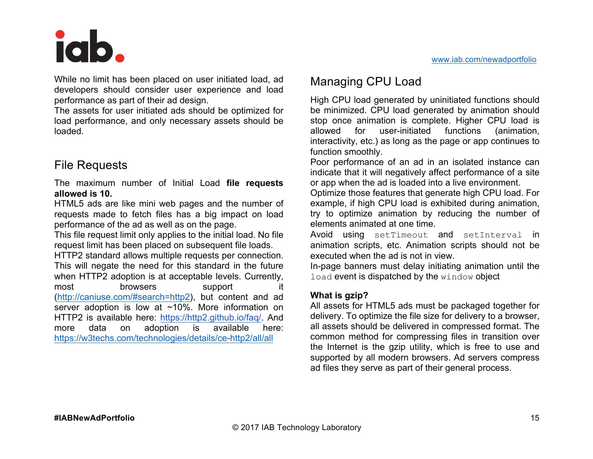## iab

While no limit has been placed on user initiated load, ad developers should consider user experience and load performance as part of their ad design.

The assets for user initiated ads should be optimized for load performance, and only necessary assets should be loaded.

## File Requests

The maximum number of Initial Load **file requests allowed is 10.**

HTML5 ads are like mini web pages and the number of requests made to fetch files has a big impact on load performance of the ad as well as on the page.

This file request limit only applies to the initial load. No file request limit has been placed on subsequent file loads.

HTTP2 standard allows multiple requests per connection. This will negate the need for this standard in the future when HTTP2 adoption is at acceptable levels. Currently, most browsers support it (http://caniuse.com/#search=http2), but content and ad server adoption is low at ~10%. More information on HTTP2 is available here: https://http2.github.io/faq/. And more data on adoption is available here: https://w3techs.com/technologies/details/ce-http2/all/all

## Managing CPU Load

High CPU load generated by uninitiated functions should be minimized. CPU load generated by animation should stop once animation is complete. Higher CPU load is allowed for user-initiated functions (animation, interactivity, etc.) as long as the page or app continues to function smoothly.

Poor performance of an ad in an isolated instance can indicate that it will negatively affect performance of a site or app when the ad is loaded into a live environment.

Optimize those features that generate high CPU load. For example, if high CPU load is exhibited during animation, try to optimize animation by reducing the number of elements animated at one time.

Avoid using setTimeout and setInterval in animation scripts, etc. Animation scripts should not be executed when the ad is not in view.

In-page banners must delay initiating animation until the load event is dispatched by the window object

#### **What is gzip?**

All assets for HTML5 ads must be packaged together for delivery. To optimize the file size for delivery to a browser, all assets should be delivered in compressed format. The common method for compressing files in transition over the Internet is the gzip utility, which is free to use and supported by all modern browsers. Ad servers compress ad files they serve as part of their general process.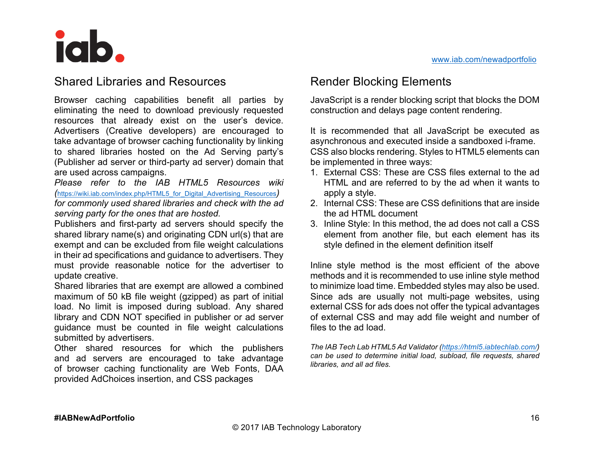### Shared Libraries and Resources

Browser caching capabilities benefit all parties by eliminating the need to download previously requested resources that already exist on the user's device. Advertisers (Creative developers) are encouraged to take advantage of browser caching functionality by linking to shared libraries hosted on the Ad Serving party's (Publisher ad server or third-party ad server) domain that are used across campaigns.

*Please refer to the IAB HTML5 Resources wiki (*https://wiki.iab.com/index.php/HTML5\_for\_Digital\_Advertising\_Resources*) for commonly used shared libraries and check with the ad serving party for the ones that are hosted.*

Publishers and first-party ad servers should specify the shared library name(s) and originating CDN url(s) that are exempt and can be excluded from file weight calculations in their ad specifications and guidance to advertisers. They must provide reasonable notice for the advertiser to update creative.

Shared libraries that are exempt are allowed a combined maximum of 50 kB file weight (gzipped) as part of initial load. No limit is imposed during subload. Any shared library and CDN NOT specified in publisher or ad server guidance must be counted in file weight calculations submitted by advertisers.

Other shared resources for which the publishers and ad servers are encouraged to take advantage of browser caching functionality are Web Fonts, DAA provided AdChoices insertion, and CSS packages

## Render Blocking Elements

JavaScript is a render blocking script that blocks the DOM construction and delays page content rendering.

It is recommended that all JavaScript be executed as asynchronous and executed inside a sandboxed i-frame. CSS also blocks rendering. Styles to HTML5 elements can be implemented in three ways:

- 1. External CSS: These are CSS files external to the ad HTML and are referred to by the ad when it wants to apply a style.
- 2. Internal CSS: These are CSS definitions that are inside the ad HTML document
- 3. Inline Style: In this method, the ad does not call a CSS element from another file, but each element has its style defined in the element definition itself

Inline style method is the most efficient of the above methods and it is recommended to use inline style method to minimize load time. Embedded styles may also be used. Since ads are usually not multi-page websites, using external CSS for ads does not offer the typical advantages of external CSS and may add file weight and number of files to the ad load.

*The IAB Tech Lab HTML5 Ad Validator (https://html5.iabtechlab.com/) can be used to determine initial load, subload, file requests, shared libraries, and all ad files.*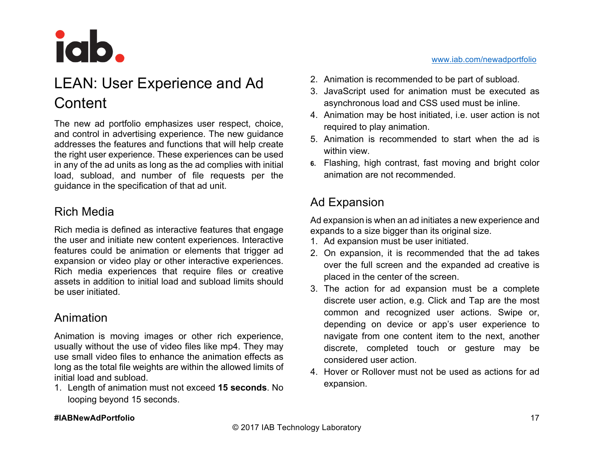

## LEAN: User Experience and Ad **Content**

The new ad portfolio emphasizes user respect, choice, and control in advertising experience. The new guidance addresses the features and functions that will help create the right user experience. These experiences can be used in any of the ad units as long as the ad complies with initial load, subload, and number of file requests per the guidance in the specification of that ad unit.

## Rich Media

Rich media is defined as interactive features that engage the user and initiate new content experiences. Interactive features could be animation or elements that trigger ad expansion or video play or other interactive experiences. Rich media experiences that require files or creative assets in addition to initial load and subload limits should be user initiated.

### Animation

Animation is moving images or other rich experience, usually without the use of video files like mp4. They may use small video files to enhance the animation effects as long as the total file weights are within the allowed limits of initial load and subload.

1. Length of animation must not exceed **15 seconds**. No looping beyond 15 seconds.

- 2. Animation is recommended to be part of subload.
- 3. JavaScript used for animation must be executed as asynchronous load and CSS used must be inline.
- 4. Animation may be host initiated, i.e. user action is not required to play animation.
- 5. Animation is recommended to start when the ad is within view.
- **6.** Flashing, high contrast, fast moving and bright color animation are not recommended.

## Ad Expansion

Ad expansion is when an ad initiates a new experience and expands to a size bigger than its original size.

- 1. Ad expansion must be user initiated.
- 2. On expansion, it is recommended that the ad takes over the full screen and the expanded ad creative is placed in the center of the screen.
- 3. The action for ad expansion must be a complete discrete user action, e.g. Click and Tap are the most common and recognized user actions. Swipe or, depending on device or app's user experience to navigate from one content item to the next, another discrete, completed touch or gesture may be considered user action.
- 4. Hover or Rollover must not be used as actions for ad expansion.

#### **#IABNewAdPortfolio**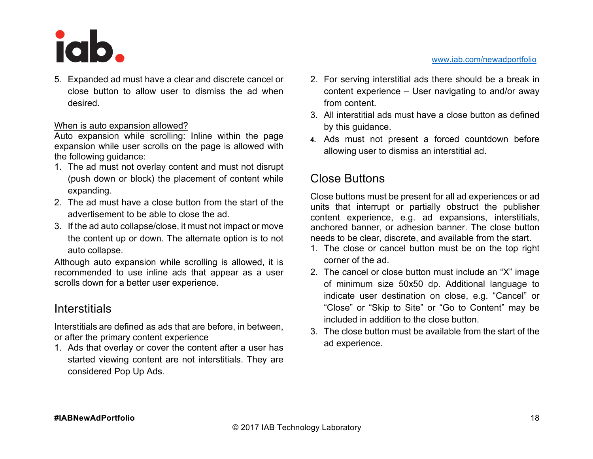

5. Expanded ad must have a clear and discrete cancel or close button to allow user to dismiss the ad when desired.

#### When is auto expansion allowed?

Auto expansion while scrolling: Inline within the page expansion while user scrolls on the page is allowed with the following guidance:

- 1. The ad must not overlay content and must not disrupt (push down or block) the placement of content while expanding.
- 2. The ad must have a close button from the start of the advertisement to be able to close the ad.
- 3. If the ad auto collapse/close, it must not impact or move the content up or down. The alternate option is to not auto collapse.

Although auto expansion while scrolling is allowed, it is recommended to use inline ads that appear as a user scrolls down for a better user experience.

### **Interstitials**

Interstitials are defined as ads that are before, in between, or after the primary content experience

1. Ads that overlay or cover the content after a user has started viewing content are not interstitials. They are considered Pop Up Ads.

- 2. For serving interstitial ads there should be a break in content experience – User navigating to and/or away from content.
- 3. All interstitial ads must have a close button as defined by this guidance.
- **4.** Ads must not present a forced countdown before allowing user to dismiss an interstitial ad.

## Close Buttons

Close buttons must be present for all ad experiences or ad units that interrupt or partially obstruct the publisher content experience, e.g. ad expansions, interstitials, anchored banner, or adhesion banner. The close button needs to be clear, discrete, and available from the start.

- 1. The close or cancel button must be on the top right corner of the ad.
- 2. The cancel or close button must include an "X" image of minimum size 50x50 dp. Additional language to indicate user destination on close, e.g. "Cancel" or "Close" or "Skip to Site" or "Go to Content" may be included in addition to the close button.
- 3. The close button must be available from the start of the ad experience.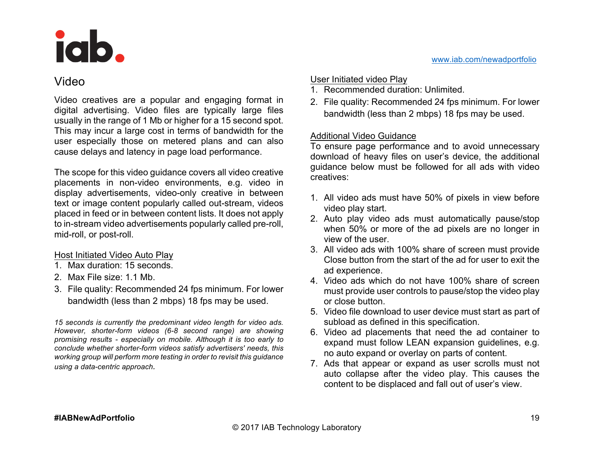## Video

Video creatives are a popular and engaging format in digital advertising. Video files are typically large files usually in the range of 1 Mb or higher for a 15 second spot. This may incur a large cost in terms of bandwidth for the user especially those on metered plans and can also cause delays and latency in page load performance.

The scope for this video guidance covers all video creative placements in non-video environments, e.g. video in display advertisements, video-only creative in between text or image content popularly called out-stream, videos placed in feed or in between content lists. It does not apply to in-stream video advertisements popularly called pre-roll, mid-roll, or post-roll.

#### Host Initiated Video Auto Play

- 1. Max duration: 15 seconds.
- 2. Max File size: 1.1 Mb.
- 3. File quality: Recommended 24 fps minimum. For lower bandwidth (less than 2 mbps) 18 fps may be used.

*15 seconds is currently the predominant video length for video ads. However, shorter-form videos (6-8 second range) are showing promising results - especially on mobile. Although it is too early to conclude whether shorter-form videos satisfy advertisers' needs, this working group will perform more testing in order to revisit this guidance using a data-centric approach.*

#### User Initiated video Play

- 1. Recommended duration: Unlimited.
- 2. File quality: Recommended 24 fps minimum. For lower bandwidth (less than 2 mbps) 18 fps may be used.

#### Additional Video Guidance

To ensure page performance and to avoid unnecessary download of heavy files on user's device, the additional guidance below must be followed for all ads with video creatives:

- 1. All video ads must have 50% of pixels in view before video play start.
- 2. Auto play video ads must automatically pause/stop when 50% or more of the ad pixels are no longer in view of the user.
- 3. All video ads with 100% share of screen must provide Close button from the start of the ad for user to exit the ad experience.
- 4. Video ads which do not have 100% share of screen must provide user controls to pause/stop the video play or close button.
- 5. Video file download to user device must start as part of subload as defined in this specification.
- 6. Video ad placements that need the ad container to expand must follow LEAN expansion guidelines, e.g. no auto expand or overlay on parts of content.
- 7. Ads that appear or expand as user scrolls must not auto collapse after the video play. This causes the content to be displaced and fall out of user's view.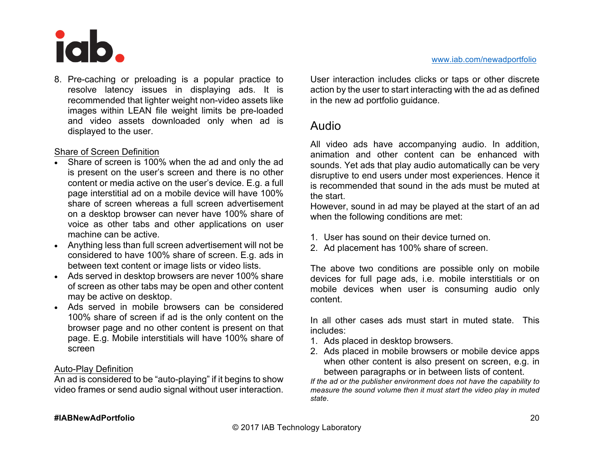

8. Pre-caching or preloading is a popular practice to resolve latency issues in displaying ads. It is recommended that lighter weight non-video assets like images within LEAN file weight limits be pre-loaded and video assets downloaded only when ad is displayed to the user.

#### Share of Screen Definition

- Share of screen is 100% when the ad and only the ad is present on the user's screen and there is no other content or media active on the user's device. E.g. a full page interstitial ad on a mobile device will have 100% share of screen whereas a full screen advertisement on a desktop browser can never have 100% share of voice as other tabs and other applications on user machine can be active.
- Anything less than full screen advertisement will not be considered to have 100% share of screen. E.g. ads in between text content or image lists or video lists.
- Ads served in desktop browsers are never 100% share of screen as other tabs may be open and other content may be active on desktop.
- Ads served in mobile browsers can be considered 100% share of screen if ad is the only content on the browser page and no other content is present on that page. E.g. Mobile interstitials will have 100% share of screen

#### Auto-Play Definition

An ad is considered to be "auto-playing" if it begins to show video frames or send audio signal without user interaction. User interaction includes clicks or taps or other discrete action by the user to start interacting with the ad as defined in the new ad portfolio guidance.

#### Audio

All video ads have accompanying audio. In addition, animation and other content can be enhanced with sounds. Yet ads that play audio automatically can be very disruptive to end users under most experiences. Hence it is recommended that sound in the ads must be muted at the start.

However, sound in ad may be played at the start of an ad when the following conditions are met:

- 1. User has sound on their device turned on.
- 2. Ad placement has 100% share of screen.

The above two conditions are possible only on mobile devices for full page ads, i.e. mobile interstitials or on mobile devices when user is consuming audio only content.

In all other cases ads must start in muted state. This includes:

- 1. Ads placed in desktop browsers.
- 2. Ads placed in mobile browsers or mobile device apps when other content is also present on screen, e.g. in between paragraphs or in between lists of content.

*If the ad or the publisher environment does not have the capability to measure the sound volume then it must start the video play in muted state*.

#### **#IABNewAdPortfolio**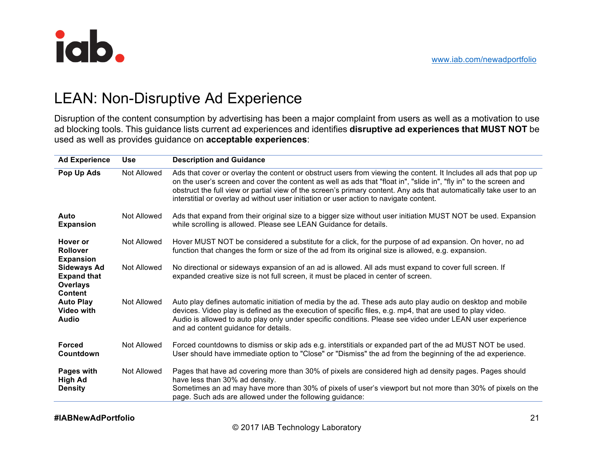

## LEAN: Non-Disruptive Ad Experience

Disruption of the content consumption by advertising has been a major complaint from users as well as a motivation to use ad blocking tools. This guidance lists current ad experiences and identifies **disruptive ad experiences that MUST NOT** be used as well as provides guidance on **acceptable experiences**:

| <b>Ad Experience</b>                                                          | <b>Use</b>  | <b>Description and Guidance</b>                                                                                                                                                                                                                                                                                                                                                                                                                        |
|-------------------------------------------------------------------------------|-------------|--------------------------------------------------------------------------------------------------------------------------------------------------------------------------------------------------------------------------------------------------------------------------------------------------------------------------------------------------------------------------------------------------------------------------------------------------------|
| Pop Up Ads                                                                    | Not Allowed | Ads that cover or overlay the content or obstruct users from viewing the content. It Includes all ads that pop up<br>on the user's screen and cover the content as well as ads that "float in", "slide in", "fly in" to the screen and<br>obstruct the full view or partial view of the screen's primary content. Any ads that automatically take user to an<br>interstitial or overlay ad without user initiation or user action to navigate content. |
| Auto<br><b>Expansion</b>                                                      | Not Allowed | Ads that expand from their original size to a bigger size without user initiation MUST NOT be used. Expansion<br>while scrolling is allowed. Please see LEAN Guidance for details.                                                                                                                                                                                                                                                                     |
| Hover or<br><b>Rollover</b><br><b>Expansion</b>                               | Not Allowed | Hover MUST NOT be considered a substitute for a click, for the purpose of ad expansion. On hover, no ad<br>function that changes the form or size of the ad from its original size is allowed, e.g. expansion.                                                                                                                                                                                                                                         |
| <b>Sideways Ad</b><br><b>Expand that</b><br><b>Overlays</b><br><b>Content</b> | Not Allowed | No directional or sideways expansion of an ad is allowed. All ads must expand to cover full screen. If<br>expanded creative size is not full screen, it must be placed in center of screen.                                                                                                                                                                                                                                                            |
| <b>Auto Play</b><br>Video with<br><b>Audio</b>                                | Not Allowed | Auto play defines automatic initiation of media by the ad. These ads auto play audio on desktop and mobile<br>devices. Video play is defined as the execution of specific files, e.g. mp4, that are used to play video.<br>Audio is allowed to auto play only under specific conditions. Please see video under LEAN user experience<br>and ad content guidance for details.                                                                           |
| <b>Forced</b><br>Countdown                                                    | Not Allowed | Forced countdowns to dismiss or skip ads e.g. interstitials or expanded part of the ad MUST NOT be used.<br>User should have immediate option to "Close" or "Dismiss" the ad from the beginning of the ad experience.                                                                                                                                                                                                                                  |
| Pages with<br><b>High Ad</b><br><b>Density</b>                                | Not Allowed | Pages that have ad covering more than 30% of pixels are considered high ad density pages. Pages should<br>have less than 30% ad density.<br>Sometimes an ad may have more than 30% of pixels of user's viewport but not more than 30% of pixels on the<br>page. Such ads are allowed under the following guidance:                                                                                                                                     |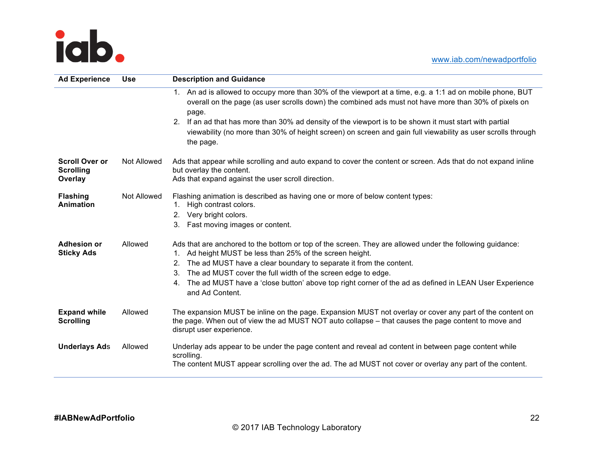



| <b>Ad Experience</b>                                 | <b>Use</b>  | <b>Description and Guidance</b>                                                                                                                                                                                                                                                                                                                                                                                                                                      |  |
|------------------------------------------------------|-------------|----------------------------------------------------------------------------------------------------------------------------------------------------------------------------------------------------------------------------------------------------------------------------------------------------------------------------------------------------------------------------------------------------------------------------------------------------------------------|--|
|                                                      |             | 1. An ad is allowed to occupy more than 30% of the viewport at a time, e.g. a 1:1 ad on mobile phone, BUT<br>overall on the page (as user scrolls down) the combined ads must not have more than 30% of pixels on<br>page.<br>If an ad that has more than 30% ad density of the viewport is to be shown it must start with partial<br>2.<br>viewability (no more than 30% of height screen) on screen and gain full viewability as user scrolls through<br>the page. |  |
| <b>Scroll Over or</b><br><b>Scrolling</b><br>Overlay | Not Allowed | Ads that appear while scrolling and auto expand to cover the content or screen. Ads that do not expand inline<br>but overlay the content.<br>Ads that expand against the user scroll direction.                                                                                                                                                                                                                                                                      |  |
| <b>Flashing</b><br><b>Animation</b>                  | Not Allowed | Flashing animation is described as having one or more of below content types:<br>High contrast colors.<br>1.<br>Very bright colors.<br>2.<br>Fast moving images or content.<br>3.                                                                                                                                                                                                                                                                                    |  |
| <b>Adhesion or</b><br><b>Sticky Ads</b>              | Allowed     | Ads that are anchored to the bottom or top of the screen. They are allowed under the following guidance:<br>Ad height MUST be less than 25% of the screen height.<br>1.<br>The ad MUST have a clear boundary to separate it from the content.<br>2.<br>The ad MUST cover the full width of the screen edge to edge.<br>3.<br>The ad MUST have a 'close button' above top right corner of the ad as defined in LEAN User Experience<br>4.<br>and Ad Content.          |  |
| <b>Expand while</b><br><b>Scrolling</b>              | Allowed     | The expansion MUST be inline on the page. Expansion MUST not overlay or cover any part of the content on<br>the page. When out of view the ad MUST NOT auto collapse – that causes the page content to move and<br>disrupt user experience.                                                                                                                                                                                                                          |  |
| <b>Underlays Ads</b>                                 | Allowed     | Underlay ads appear to be under the page content and reveal ad content in between page content while<br>scrolling.<br>The content MUST appear scrolling over the ad. The ad MUST not cover or overlay any part of the content.                                                                                                                                                                                                                                       |  |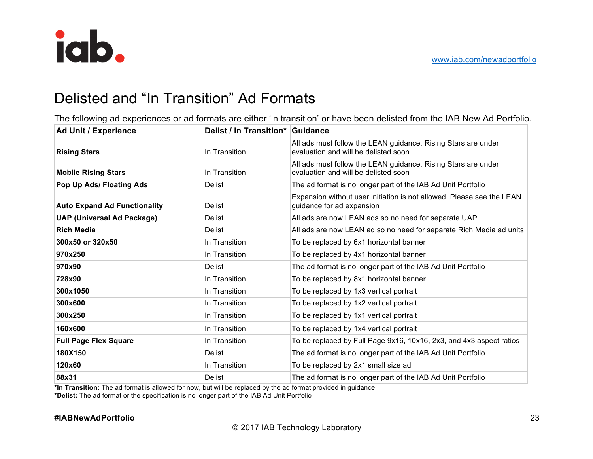

## Delisted and "In Transition" Ad Formats

The following ad experiences or ad formats are either 'in transition' or have been delisted from the IAB New Ad Portfolio.

| <b>Ad Unit / Experience</b>         | Delist / In Transition* Guidance |                                                                                                       |
|-------------------------------------|----------------------------------|-------------------------------------------------------------------------------------------------------|
| <b>Rising Stars</b>                 | In Transition                    | All ads must follow the LEAN guidance. Rising Stars are under<br>evaluation and will be delisted soon |
| <b>Mobile Rising Stars</b>          | In Transition                    | All ads must follow the LEAN guidance. Rising Stars are under<br>evaluation and will be delisted soon |
| Pop Up Ads/ Floating Ads            | <b>Delist</b>                    | The ad format is no longer part of the IAB Ad Unit Portfolio                                          |
| <b>Auto Expand Ad Functionality</b> | Delist                           | Expansion without user initiation is not allowed. Please see the LEAN<br>guidance for ad expansion    |
| <b>UAP (Universal Ad Package)</b>   | <b>Delist</b>                    | All ads are now LEAN ads so no need for separate UAP                                                  |
| <b>Rich Media</b>                   | <b>Delist</b>                    | All ads are now LEAN ad so no need for separate Rich Media ad units                                   |
| 300x50 or 320x50                    | In Transition                    | To be replaced by 6x1 horizontal banner                                                               |
| 970x250                             | In Transition                    | To be replaced by 4x1 horizontal banner                                                               |
| 970x90                              | <b>Delist</b>                    | The ad format is no longer part of the IAB Ad Unit Portfolio                                          |
| 728x90                              | In Transition                    | To be replaced by 8x1 horizontal banner                                                               |
| 300x1050                            | In Transition                    | To be replaced by 1x3 vertical portrait                                                               |
| 300x600                             | In Transition                    | To be replaced by 1x2 vertical portrait                                                               |
| 300x250                             | In Transition                    | To be replaced by 1x1 vertical portrait                                                               |
| 160x600                             | In Transition                    | To be replaced by 1x4 vertical portrait                                                               |
| <b>Full Page Flex Square</b>        | In Transition                    | To be replaced by Full Page 9x16, 10x16, 2x3, and 4x3 aspect ratios                                   |
| 180X150                             | <b>Delist</b>                    | The ad format is no longer part of the IAB Ad Unit Portfolio                                          |
| 120x60                              | In Transition                    | To be replaced by 2x1 small size ad                                                                   |
| 88x31                               | Delist                           | The ad format is no longer part of the IAB Ad Unit Portfolio                                          |

**\*In Transition:** The ad format is allowed for now, but will be replaced by the ad format provided in guidance **\*Delist:** The ad format or the specification is no longer part of the IAB Ad Unit Portfolio

#### **#IABNewAdPortfolio**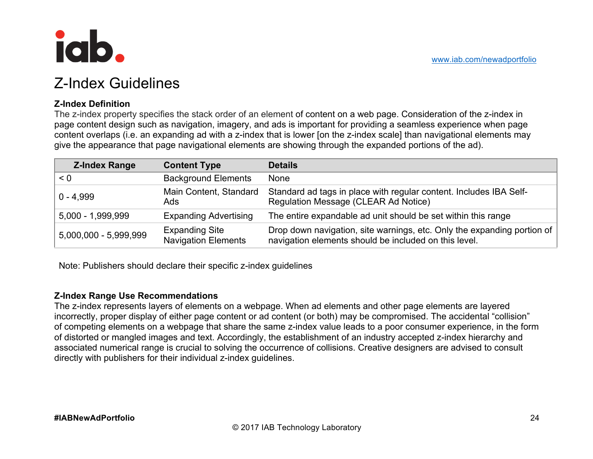

## Z-Index Guidelines

#### **Z-Index Definition**

The z-index property specifies the stack order of an element of content on a web page. Consideration of the z-index in page content design such as navigation, imagery, and ads is important for providing a seamless experience when page content overlaps (i.e. an expanding ad with a z-index that is lower [on the z-index scale] than navigational elements may give the appearance that page navigational elements are showing through the expanded portions of the ad).

| <b>Z-Index Range</b>  | <b>Content Type</b>                                 | <b>Details</b>                                                                                                                   |
|-----------------------|-----------------------------------------------------|----------------------------------------------------------------------------------------------------------------------------------|
| < 0                   | <b>Background Elements</b>                          | None                                                                                                                             |
| $0 - 4.999$           | Main Content, Standard<br>Ads                       | Standard ad tags in place with regular content. Includes IBA Self-<br>Regulation Message (CLEAR Ad Notice)                       |
| $5,000 - 1,999,999$   | <b>Expanding Advertising</b>                        | The entire expandable ad unit should be set within this range                                                                    |
| 5,000,000 - 5,999,999 | <b>Expanding Site</b><br><b>Navigation Elements</b> | Drop down navigation, site warnings, etc. Only the expanding portion of<br>navigation elements should be included on this level. |

Note: Publishers should declare their specific z-index guidelines

#### **Z-Index Range Use Recommendations**

The z-index represents layers of elements on a webpage. When ad elements and other page elements are layered incorrectly, proper display of either page content or ad content (or both) may be compromised. The accidental "collision" of competing elements on a webpage that share the same z-index value leads to a poor consumer experience, in the form of distorted or mangled images and text. Accordingly, the establishment of an industry accepted z-index hierarchy and associated numerical range is crucial to solving the occurrence of collisions. Creative designers are advised to consult directly with publishers for their individual z-index guidelines.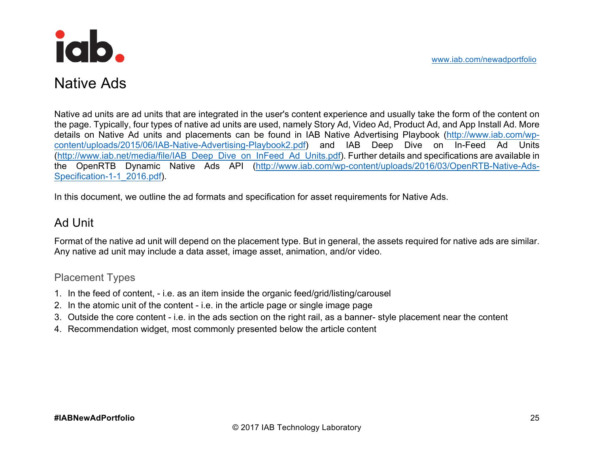www.iab.com/newadportfolio



## Native Ads

Native ad units are ad units that are integrated in the user's content experience and usually take the form of the content on the page. Typically, four types of native ad units are used, namely Story Ad, Video Ad, Product Ad, and App Install Ad. More details on Native Ad units and placements can be found in IAB Native Advertising Playbook (http://www.iab.com/wpcontent/uploads/2015/06/IAB-Native-Advertising-Playbook2.pdf) and IAB Deep Dive on In-Feed Ad Units (http://www.iab.net/media/file/IAB\_Deep\_Dive\_on\_InFeed\_Ad\_Units.pdf). Further details and specifications are available in the OpenRTB Dynamic Native Ads API (http://www.iab.com/wp-content/uploads/2016/03/OpenRTB-Native-Ads-Specification-1-1\_2016.pdf).

In this document, we outline the ad formats and specification for asset requirements for Native Ads.

## Ad Unit

Format of the native ad unit will depend on the placement type. But in general, the assets required for native ads are similar. Any native ad unit may include a data asset, image asset, animation, and/or video.

#### Placement Types

- 1. In the feed of content, i.e. as an item inside the organic feed/grid/listing/carousel
- 2. In the atomic unit of the content i.e. in the article page or single image page
- 3. Outside the core content i.e. in the ads section on the right rail, as a banner- style placement near the content
- 4. Recommendation widget, most commonly presented below the article content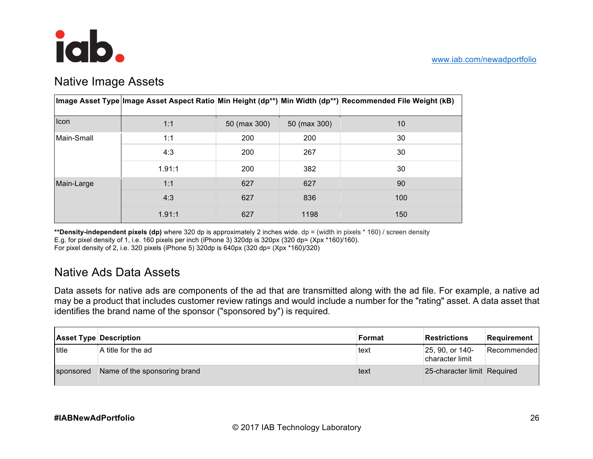

## Native Image Assets

|             |        |              |              | ∣lmage Asset Type∣lmage Asset Aspect Ratio Min Height (dp**) Min Width (dp**) Recommended File Weight (kB) |
|-------------|--------|--------------|--------------|------------------------------------------------------------------------------------------------------------|
| <b>Icon</b> | 1:1    | 50 (max 300) | 50 (max 300) | 10                                                                                                         |
| Main-Small  | 1:1    | 200          | 200          | 30                                                                                                         |
|             | 4:3    | 200          | 267          | 30                                                                                                         |
|             | 1.91:1 | 200          | 382          | 30                                                                                                         |
| Main-Large  | 1:1    | 627          | 627          | 90                                                                                                         |
|             | 4:3    | 627          | 836          | 100                                                                                                        |
|             | 1.91:1 | 627          | 1198         | 150                                                                                                        |

**\*\*Density-independent pixels (dp)** where 320 dp is approximately 2 inches wide. dp = (width in pixels \* 160) / screen density E.g. for pixel density of 1, i.e. 160 pixels per inch (iPhone 3) 320dp is 320px (320 dp= (Xpx \*160)/160).

For pixel density of 2, i.e. 320 pixels (iPhone 5) 320dp is 640px (320 dp= (Xpx \*160)/320)

## Native Ads Data Assets

Data assets for native ads are components of the ad that are transmitted along with the ad file. For example, a native ad may be a product that includes customer review ratings and would include a number for the "rating" asset. A data asset that identifies the brand name of the sponsor ("sponsored by") is required.

|           | <b>Asset Type Description</b> | Format | <b>Restrictions</b>                   | Requirement |
|-----------|-------------------------------|--------|---------------------------------------|-------------|
| title     | A title for the ad            | text   | $ 25, 90,$ or 140-<br>character limit | Recommended |
| sponsored | Name of the sponsoring brand  | text   | 25-character limit Required           |             |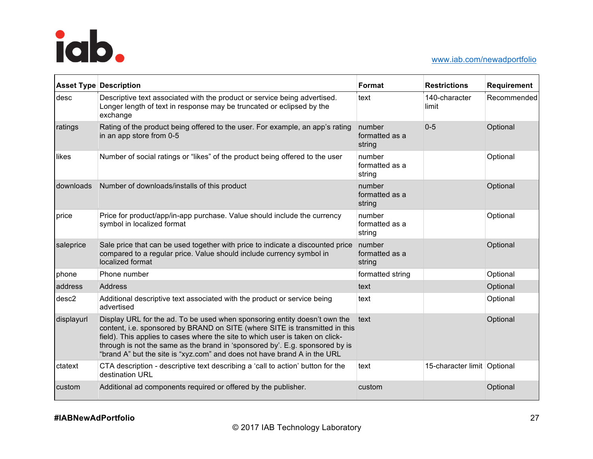

|            | <b>Asset Type Description</b>                                                                                                                                                                                                                                                                                                                                                                         | Format                             | <b>Restrictions</b>         | Requirement |
|------------|-------------------------------------------------------------------------------------------------------------------------------------------------------------------------------------------------------------------------------------------------------------------------------------------------------------------------------------------------------------------------------------------------------|------------------------------------|-----------------------------|-------------|
| desc       | Descriptive text associated with the product or service being advertised.<br>Longer length of text in response may be truncated or eclipsed by the<br>exchange                                                                                                                                                                                                                                        | text                               | 140-character<br>limit      | Recommended |
| ratings    | Rating of the product being offered to the user. For example, an app's rating<br>in an app store from 0-5                                                                                                                                                                                                                                                                                             | number<br>formatted as a<br>string | $0 - 5$                     | Optional    |
| likes      | Number of social ratings or "likes" of the product being offered to the user                                                                                                                                                                                                                                                                                                                          | number<br>formatted as a<br>string |                             | Optional    |
| downloads  | Number of downloads/installs of this product                                                                                                                                                                                                                                                                                                                                                          | number<br>formatted as a<br>string |                             | Optional    |
| price      | Price for product/app/in-app purchase. Value should include the currency<br>symbol in localized format                                                                                                                                                                                                                                                                                                | number<br>formatted as a<br>string |                             | Optional    |
| saleprice  | Sale price that can be used together with price to indicate a discounted price<br>compared to a regular price. Value should include currency symbol in<br>localized format                                                                                                                                                                                                                            | number<br>formatted as a<br>string |                             | Optional    |
| phone      | Phone number                                                                                                                                                                                                                                                                                                                                                                                          | formatted string                   |                             | Optional    |
| address    | Address                                                                                                                                                                                                                                                                                                                                                                                               | text                               |                             | Optional    |
| desc2      | Additional descriptive text associated with the product or service being<br>advertised                                                                                                                                                                                                                                                                                                                | text                               |                             | Optional    |
| displayurl | Display URL for the ad. To be used when sponsoring entity doesn't own the<br>content, i.e. sponsored by BRAND on SITE (where SITE is transmitted in this<br>field). This applies to cases where the site to which user is taken on click-<br>through is not the same as the brand in 'sponsored by'. E.g. sponsored by is<br>"brand A" but the site is "xyz.com" and does not have brand A in the URL | text                               |                             | Optional    |
| ctatext    | CTA description - descriptive text describing a 'call to action' button for the<br>destination URL                                                                                                                                                                                                                                                                                                    | text                               | 15-character limit Optional |             |
| custom     | Additional ad components required or offered by the publisher.                                                                                                                                                                                                                                                                                                                                        | custom                             |                             | Optional    |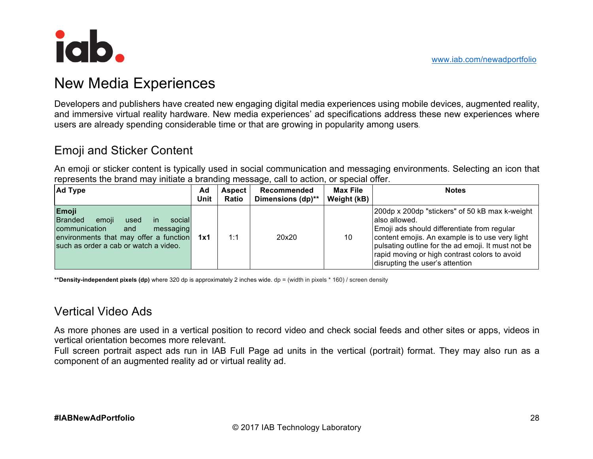

## New Media Experiences

Developers and publishers have created new engaging digital media experiences using mobile devices, augmented reality, and immersive virtual reality hardware. New media experiences' ad specifications address these new experiences where users are already spending considerable time or that are growing in popularity among users.

## Emoji and Sticker Content

An emoji or sticker content is typically used in social communication and messaging environments. Selecting an icon that represents the brand may initiate a branding message, call to action, or special offer.

| <b>Ad Type</b>                                                                                                                                                                        | Ad<br>Unit | <b>Aspect</b><br>Ratio | Recommended<br>Dimensions (dp)** | Max File<br>Weight (kB) | <b>Notes</b>                                                                                                                                                                                                                                                                                                |
|---------------------------------------------------------------------------------------------------------------------------------------------------------------------------------------|------------|------------------------|----------------------------------|-------------------------|-------------------------------------------------------------------------------------------------------------------------------------------------------------------------------------------------------------------------------------------------------------------------------------------------------------|
| Emoji<br><b>Branded</b><br>emoji<br>social<br>used<br>in.<br>communication<br>and<br>messaging<br>environments that may offer a function 1x1<br>such as order a cab or watch a video. |            | 1:1                    | 20x20                            | 10                      | 200dp x 200dp "stickers" of 50 kB max k-weight<br>also allowed.<br>Emoji ads should differentiate from regular<br>content emojis. An example is to use very light<br>pulsating outline for the ad emoji. It must not be<br>rapid moving or high contrast colors to avoid<br>disrupting the user's attention |

**\*\*Density-independent pixels (dp)** where 320 dp is approximately 2 inches wide. dp = (width in pixels \* 160) / screen density

### Vertical Video Ads

As more phones are used in a vertical position to record video and check social feeds and other sites or apps, videos in vertical orientation becomes more relevant.

Full screen portrait aspect ads run in IAB Full Page ad units in the vertical (portrait) format. They may also run as a component of an augmented reality ad or virtual reality ad.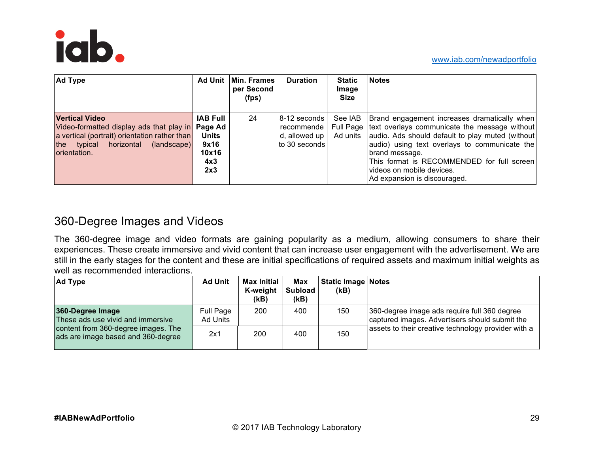

| <b>Ad Type</b>                                                                                                                                                                         | Ad Unit                                                        | Min. Frames<br>per Second<br>(fps) | <b>Duration</b>                                                    | <b>Static</b><br>Image<br>Size | <b>Notes</b>                                                                                                                                                                                                                                                                                                                                                   |
|----------------------------------------------------------------------------------------------------------------------------------------------------------------------------------------|----------------------------------------------------------------|------------------------------------|--------------------------------------------------------------------|--------------------------------|----------------------------------------------------------------------------------------------------------------------------------------------------------------------------------------------------------------------------------------------------------------------------------------------------------------------------------------------------------------|
| <b>Vertical Video</b><br>Video-formatted display ads that play in Page Ad<br>a vertical (portrait) orientation rather than<br>the typical<br>horizontal<br>(landscape)<br>orientation. | <b>IAB Full</b><br><b>Units</b><br>9x16<br>10x16<br>4x3<br>2x3 | 24                                 | 8-12 seconds l<br>recommende<br>d, allowed up $ $<br>to 30 seconds |                                | See IAB   Brand engagement increases dramatically when<br>Full Page text overlays communicate the message without<br>Ad units audio. Ads should default to play muted (without)<br>audio) using text overlays to communicate the<br>brand message.<br>This format is RECOMMENDED for full screen<br>Ivideos on mobile devices.<br>Ad expansion is discouraged. |

## 360-Degree Images and Videos

The 360-degree image and video formats are gaining popularity as a medium, allowing consumers to share their experiences. These create immersive and vivid content that can increase user engagement with the advertisement. We are still in the early stages for the content and these are initial specifications of required assets and maximum initial weights as well as recommended interactions.

| <b>Ad Type</b>                                                                                                                     | <b>Ad Unit</b>        | <b>Max Initial</b><br>K-weight<br>(kB) | <b>Max</b><br><b>Subload</b><br>(kB) | <b>Static Image Notes</b><br>(kB) |                                                                                                |  |
|------------------------------------------------------------------------------------------------------------------------------------|-----------------------|----------------------------------------|--------------------------------------|-----------------------------------|------------------------------------------------------------------------------------------------|--|
| 360-Degree Image<br>These ads use vivid and immersive<br>content from 360-degree images. The<br>ads are image based and 360-degree | Full Page<br>Ad Units | 200                                    | 400                                  | 150                               | 360-degree image ads require full 360 degree<br>captured images. Advertisers should submit the |  |
|                                                                                                                                    | 2x1                   | 200                                    | 400                                  | 150                               | assets to their creative technology provider with a                                            |  |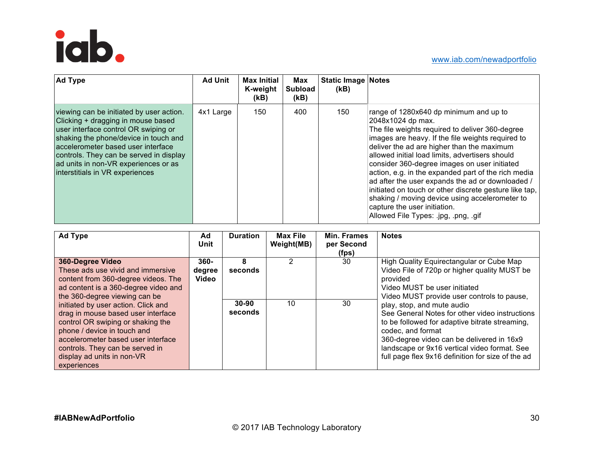

| <b>Ad Type</b>                                                                                                                                                                                                                                                                                                              | <b>Ad Unit</b> | <b>Max Initial</b><br>K-weight<br>(kB) | Max<br><b>Subload</b><br>(kB) | <b>Static Image Notes</b><br>(kB) |                                                                                                                                                                                                                                                                                                                                                                                                                                                                                                                                                                                                                     |
|-----------------------------------------------------------------------------------------------------------------------------------------------------------------------------------------------------------------------------------------------------------------------------------------------------------------------------|----------------|----------------------------------------|-------------------------------|-----------------------------------|---------------------------------------------------------------------------------------------------------------------------------------------------------------------------------------------------------------------------------------------------------------------------------------------------------------------------------------------------------------------------------------------------------------------------------------------------------------------------------------------------------------------------------------------------------------------------------------------------------------------|
| viewing can be initiated by user action.<br>Clicking + dragging in mouse based<br>user interface control OR swiping or<br>shaking the phone/device in touch and<br>accelerometer based user interface<br>controls. They can be served in display<br>ad units in non-VR experiences or as<br>interstitials in VR experiences | 4x1 Large      | 150                                    | 400                           | 150                               | range of 1280x640 dp minimum and up to<br>2048x1024 dp max.<br>The file weights required to deliver 360-degree<br>images are heavy. If the file weights required to<br>deliver the ad are higher than the maximum<br>allowed initial load limits, advertisers should<br>consider 360-degree images on user initiated<br>action, e.g. in the expanded part of the rich media<br>ad after the user expands the ad or downloaded /<br>initiated on touch or other discrete gesture like tap,<br>shaking / moving device using accelerometer to<br>capture the user initiation.<br>Allowed File Types: .jpg, .png, .gif |

| <b>Ad Type</b>                                                                                                                                                                                                               | Ad<br>Unit                 | <b>Duration</b>                      | <b>Max File</b><br>Weight(MB) | Min. Frames<br>per Second<br>(fps)                                                                                                                                                                               | <b>Notes</b>                                                                                                                                                                                                                                                            |
|------------------------------------------------------------------------------------------------------------------------------------------------------------------------------------------------------------------------------|----------------------------|--------------------------------------|-------------------------------|------------------------------------------------------------------------------------------------------------------------------------------------------------------------------------------------------------------|-------------------------------------------------------------------------------------------------------------------------------------------------------------------------------------------------------------------------------------------------------------------------|
| 360-Degree Video<br>These ads use vivid and immersive<br>content from 360-degree videos. The<br>ad content is a 360-degree video and<br>the 360-degree viewing can be<br>initiated by user action. Click and                 | $360 -$<br>degree<br>Video | 2<br>8<br>seconds<br>10<br>$30 - 90$ | 30<br>30                      | High Quality Equirectangular or Cube Map<br>Video File of 720p or higher quality MUST be<br>provided<br>Video MUST be user initiated<br>Video MUST provide user controls to pause,<br>play, stop, and mute audio |                                                                                                                                                                                                                                                                         |
| drag in mouse based user interface<br>control OR swiping or shaking the<br>phone / device in touch and<br>accelerometer based user interface<br>controls. They can be served in<br>display ad units in non-VR<br>experiences |                            | seconds                              |                               |                                                                                                                                                                                                                  | See General Notes for other video instructions<br>to be followed for adaptive bitrate streaming,<br>codec, and format<br>360-degree video can be delivered in 16x9<br>landscape or 9x16 vertical video format. See<br>full page flex 9x16 definition for size of the ad |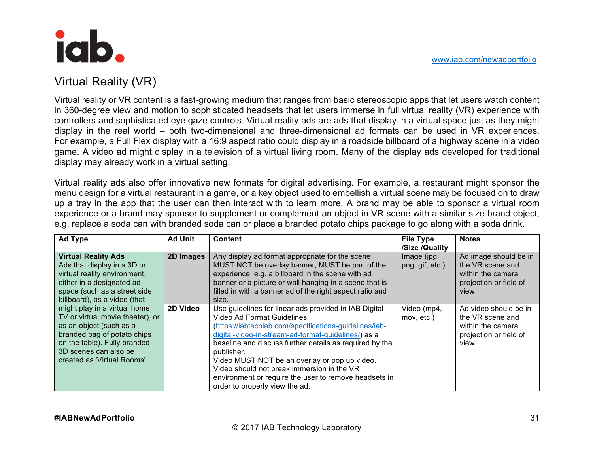## Virtual Reality (VR)

Virtual reality or VR content is a fast-growing medium that ranges from basic stereoscopic apps that let users watch content in 360-degree view and motion to sophisticated headsets that let users immerse in full virtual reality (VR) experience with controllers and sophisticated eye gaze controls. Virtual reality ads are ads that display in a virtual space just as they might display in the real world – both two-dimensional and three-dimensional ad formats can be used in VR experiences. For example, a Full Flex display with a 16:9 aspect ratio could display in a roadside billboard of a highway scene in a video game. A video ad might display in a television of a virtual living room. Many of the display ads developed for traditional display may already work in a virtual setting.

Virtual reality ads also offer innovative new formats for digital advertising. For example, a restaurant might sponsor the menu design for a virtual restaurant in a game, or a key object used to embellish a virtual scene may be focused on to draw up a tray in the app that the user can then interact with to learn more. A brand may be able to sponsor a virtual room experience or a brand may sponsor to supplement or complement an object in VR scene with a similar size brand object, e.g. replace a soda can with branded soda can or place a branded potato chips package to go along with a soda drink.

| <b>Ad Type</b>                                                                                                                                                                                                    | <b>Ad Unit</b> | <b>Content</b>                                                                                                                                                                                                                                                                                                                                                                                                                                                          | <b>File Type</b><br>/Size /Quality | <b>Notes</b>                                                                                     |
|-------------------------------------------------------------------------------------------------------------------------------------------------------------------------------------------------------------------|----------------|-------------------------------------------------------------------------------------------------------------------------------------------------------------------------------------------------------------------------------------------------------------------------------------------------------------------------------------------------------------------------------------------------------------------------------------------------------------------------|------------------------------------|--------------------------------------------------------------------------------------------------|
| <b>Virtual Reality Ads</b><br>Ads that display in a 3D or<br>virtual reality environment,<br>either in a designated ad<br>space (such as a street side<br>billboard), as a video (that                            | 2D Images      | Any display ad format appropriate for the scene<br>MUST NOT be overlay banner, MUST be part of the<br>experience, e.g. a billboard in the scene with ad<br>banner or a picture or wall hanging in a scene that is<br>filled in with a banner ad of the right aspect ratio and<br>size.                                                                                                                                                                                  | Image (jpg,<br>png, gif, etc.)     | Ad image should be in<br>the VR scene and<br>within the camera<br>projection or field of<br>view |
| might play in a virtual home<br>TV or virtual movie theater), or<br>as an object (such as a<br>branded bag of potato chips<br>on the table). Fully branded<br>3D scenes can also be<br>created as 'Virtual Rooms' | 2D Video       | Use guidelines for linear ads provided in IAB Digital<br>Video Ad Format Guidelines<br>(https://iabtechlab.com/specifications-guidelines/iab-<br>digital-video-in-stream-ad-format-guidelines/) as a<br>baseline and discuss further details as required by the<br>publisher.<br>Video MUST NOT be an overlay or pop up video.<br>Video should not break immersion in the VR<br>environment or require the user to remove headsets in<br>order to properly view the ad. | Video (mp4,<br>mov, etc.)          | Ad video should be in<br>the VR scene and<br>within the camera<br>projection or field of<br>view |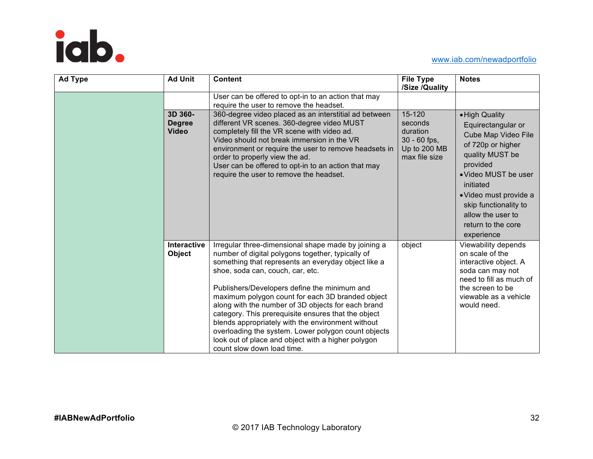

#### www.iab.com/newadportfolio

| <b>Ad Type</b> | <b>Ad Unit</b>                           | <b>Content</b>                                                                                                                                                                                                                                                                                                                                                                                                                                                                                                                                                                                                       | <b>File Type</b><br>/Size /Quality                                               | <b>Notes</b>                                                                                                                                                                                                                                                     |
|----------------|------------------------------------------|----------------------------------------------------------------------------------------------------------------------------------------------------------------------------------------------------------------------------------------------------------------------------------------------------------------------------------------------------------------------------------------------------------------------------------------------------------------------------------------------------------------------------------------------------------------------------------------------------------------------|----------------------------------------------------------------------------------|------------------------------------------------------------------------------------------------------------------------------------------------------------------------------------------------------------------------------------------------------------------|
|                |                                          | User can be offered to opt-in to an action that may<br>require the user to remove the headset.                                                                                                                                                                                                                                                                                                                                                                                                                                                                                                                       |                                                                                  |                                                                                                                                                                                                                                                                  |
|                | 3D 360-<br><b>Degree</b><br><b>Video</b> | 360-degree video placed as an interstitial ad between<br>different VR scenes. 360-degree video MUST<br>completely fill the VR scene with video ad.<br>Video should not break immersion in the VR<br>environment or require the user to remove headsets in<br>order to properly view the ad.<br>User can be offered to opt-in to an action that may<br>require the user to remove the headset.                                                                                                                                                                                                                        | 15-120<br>seconds<br>duration<br>$30 - 60$ fps,<br>Up to 200 MB<br>max file size | · High Quality<br>Equirectangular or<br>Cube Map Video File<br>of 720p or higher<br>quality MUST be<br>provided<br>• Video MUST be user<br>initiated<br>· Video must provide a<br>skip functionality to<br>allow the user to<br>return to the core<br>experience |
|                | Interactive<br>Object                    | Irregular three-dimensional shape made by joining a<br>number of digital polygons together, typically of<br>something that represents an everyday object like a<br>shoe, soda can, couch, car, etc.<br>Publishers/Developers define the minimum and<br>maximum polygon count for each 3D branded object<br>along with the number of 3D objects for each brand<br>category. This prerequisite ensures that the object<br>blends appropriately with the environment without<br>overloading the system. Lower polygon count objects<br>look out of place and object with a higher polygon<br>count slow down load time. | object                                                                           | Viewability depends<br>on scale of the<br>interactive object. A<br>soda can may not<br>need to fill as much of<br>the screen to be<br>viewable as a vehicle<br>would need.                                                                                       |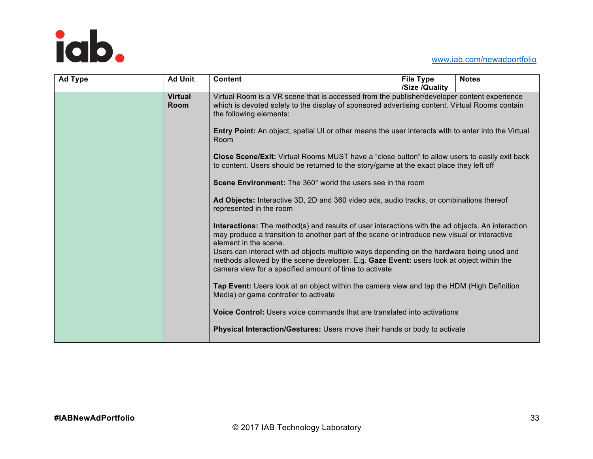

#### www.iab.com/newadportfolio

| <b>Ad Type</b> | <b>Ad Unit</b>                | <b>Content</b>                                                                                                                                                                                                                                                                                                                                                                                                                                                                                                                                                                                                                                                                                                                                                                                                                                                                                                                                                                                                                                                                                                                                                                                                         | <b>File Type</b> | <b>Notes</b> |
|----------------|-------------------------------|------------------------------------------------------------------------------------------------------------------------------------------------------------------------------------------------------------------------------------------------------------------------------------------------------------------------------------------------------------------------------------------------------------------------------------------------------------------------------------------------------------------------------------------------------------------------------------------------------------------------------------------------------------------------------------------------------------------------------------------------------------------------------------------------------------------------------------------------------------------------------------------------------------------------------------------------------------------------------------------------------------------------------------------------------------------------------------------------------------------------------------------------------------------------------------------------------------------------|------------------|--------------|
|                | <b>Virtual</b><br><b>Room</b> | Virtual Room is a VR scene that is accessed from the publisher/developer content experience<br>which is devoted solely to the display of sponsored advertising content. Virtual Rooms contain<br>the following elements:<br>Entry Point: An object, spatial UI or other means the user interacts with to enter into the Virtual<br>Room<br><b>Close Scene/Exit:</b> Virtual Rooms MUST have a "close button" to allow users to easily exit back<br>to content. Users should be returned to the story/game at the exact place they left off<br><b>Scene Environment:</b> The 360° world the users see in the room<br>Ad Objects: Interactive 3D, 2D and 360 video ads, audio tracks, or combinations thereof<br>represented in the room<br>Interactions: The method(s) and results of user interactions with the ad objects. An interaction<br>may produce a transition to another part of the scene or introduce new visual or interactive<br>element in the scene.<br>Users can interact with ad objects multiple ways depending on the hardware being used and<br>methods allowed by the scene developer. E.g. Gaze Event: users look at object within the<br>camera view for a specified amount of time to activate | /Size /Quality   |              |
|                |                               | Tap Event: Users look at an object within the camera view and tap the HDM (High Definition<br>Media) or game controller to activate                                                                                                                                                                                                                                                                                                                                                                                                                                                                                                                                                                                                                                                                                                                                                                                                                                                                                                                                                                                                                                                                                    |                  |              |
|                |                               | <b>Voice Control:</b> Users voice commands that are translated into activations                                                                                                                                                                                                                                                                                                                                                                                                                                                                                                                                                                                                                                                                                                                                                                                                                                                                                                                                                                                                                                                                                                                                        |                  |              |
|                |                               | <b>Physical Interaction/Gestures: Users move their hands or body to activate</b>                                                                                                                                                                                                                                                                                                                                                                                                                                                                                                                                                                                                                                                                                                                                                                                                                                                                                                                                                                                                                                                                                                                                       |                  |              |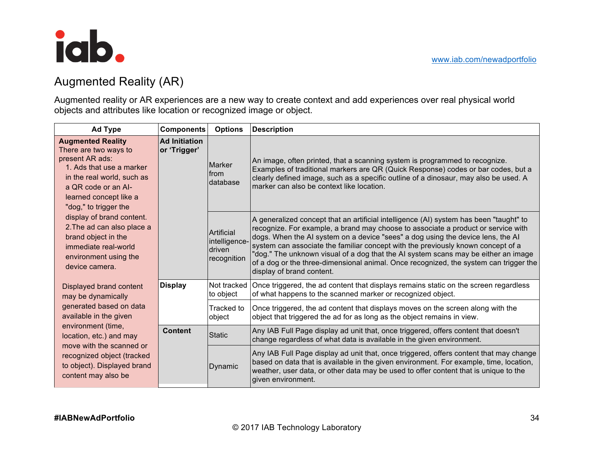

## Augmented Reality (AR)

Augmented reality or AR experiences are a new way to create context and add experiences over real physical world objects and attributes like location or recognized image or object.

| <b>Ad Type</b>                                                                                                                                                                                                                                                                                                                                                                                        | <b>Components</b>                                           | <b>Options</b>                                                                                                                                                                                                                                                                                                                                                                                                                                                                                                                                                 | <b>Description</b>                                                                                                                                                                                                                                                                                    |
|-------------------------------------------------------------------------------------------------------------------------------------------------------------------------------------------------------------------------------------------------------------------------------------------------------------------------------------------------------------------------------------------------------|-------------------------------------------------------------|----------------------------------------------------------------------------------------------------------------------------------------------------------------------------------------------------------------------------------------------------------------------------------------------------------------------------------------------------------------------------------------------------------------------------------------------------------------------------------------------------------------------------------------------------------------|-------------------------------------------------------------------------------------------------------------------------------------------------------------------------------------------------------------------------------------------------------------------------------------------------------|
| <b>Augmented Reality</b><br><b>Ad Initiation</b><br>There are two ways to<br>or 'Trigger'<br>present AR ads:<br>1. Ads that use a marker<br>in the real world, such as<br>a QR code or an AI-<br>learned concept like a<br>"dog," to trigger the<br>display of brand content.<br>2. The ad can also place a<br>brand object in the<br>immediate real-world<br>environment using the<br>device camera. |                                                             | Marker<br>from<br>database                                                                                                                                                                                                                                                                                                                                                                                                                                                                                                                                     | An image, often printed, that a scanning system is programmed to recognize.<br>Examples of traditional markers are QR (Quick Response) codes or bar codes, but a<br>clearly defined image, such as a specific outline of a dinosaur, may also be used. A<br>marker can also be context like location. |
|                                                                                                                                                                                                                                                                                                                                                                                                       | Artificial<br>intelligence-<br><b>driven</b><br>recognition | A generalized concept that an artificial intelligence (AI) system has been "taught" to<br>recognize. For example, a brand may choose to associate a product or service with<br>dogs. When the AI system on a device "sees" a dog using the device lens, the AI<br>system can associate the familiar concept with the previously known concept of a<br>"dog." The unknown visual of a dog that the AI system scans may be either an image<br>of a dog or the three-dimensional animal. Once recognized, the system can trigger the<br>display of brand content. |                                                                                                                                                                                                                                                                                                       |
| Displayed brand content<br>may be dynamically                                                                                                                                                                                                                                                                                                                                                         | <b>Display</b>                                              | Not tracked<br>to object                                                                                                                                                                                                                                                                                                                                                                                                                                                                                                                                       | Once triggered, the ad content that displays remains static on the screen regardless<br>of what happens to the scanned marker or recognized object.                                                                                                                                                   |
| generated based on data<br>available in the given                                                                                                                                                                                                                                                                                                                                                     |                                                             | Tracked to<br>object                                                                                                                                                                                                                                                                                                                                                                                                                                                                                                                                           | Once triggered, the ad content that displays moves on the screen along with the<br>object that triggered the ad for as long as the object remains in view.                                                                                                                                            |
| environment (time,<br>location, etc.) and may<br>move with the scanned or<br>recognized object (tracked<br>to object). Displayed brand<br>content may also be                                                                                                                                                                                                                                         | <b>Content</b>                                              | <b>Static</b>                                                                                                                                                                                                                                                                                                                                                                                                                                                                                                                                                  | Any IAB Full Page display ad unit that, once triggered, offers content that doesn't<br>change regardless of what data is available in the given environment.                                                                                                                                          |
|                                                                                                                                                                                                                                                                                                                                                                                                       |                                                             | Dynamic                                                                                                                                                                                                                                                                                                                                                                                                                                                                                                                                                        | Any IAB Full Page display ad unit that, once triggered, offers content that may change<br>based on data that is available in the given environment. For example, time, location,<br>weather, user data, or other data may be used to offer content that is unique to the<br>given environment.        |